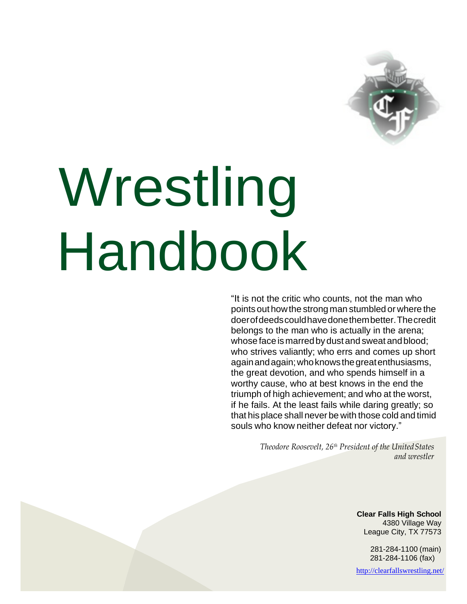

# Wrestling Handbook

"It is not the critic who counts, not the man who points out how the strong man stumbled or where the doerofdeedscouldhavedonethembetter.Thecredit belongs to the man who is actually in the arena; whose face is marredbydust and sweat andblood; who strives valiantly; who errs and comes up short againandagain;whoknowsthegreatenthusiasms, the great devotion, and who spends himself in a worthy cause, who at best knows in the end the triumph of high achievement; and who at the worst, if he fails. At the least fails while daring greatly; so that his place shall never be with those cold and timid souls who know neither defeat nor victory."

> *Theodore Roosevelt, 26th President of the UnitedStates and wrestler*

> > **Clear Falls High School** 4380 Village Way League City, TX 77573

> > > 281-284-1100 (main) 281-284-1106 (fax)

<http://clearfallswrestling.net/>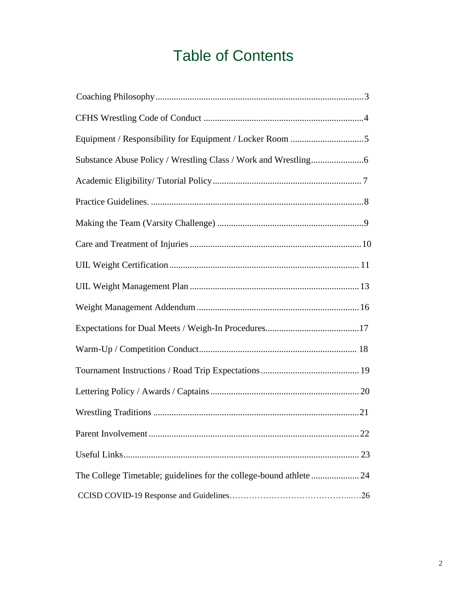# Table of Contents

| Parent Involvement<br>22                                            |
|---------------------------------------------------------------------|
|                                                                     |
| The College Timetable; guidelines for the college-bound athlete  24 |
|                                                                     |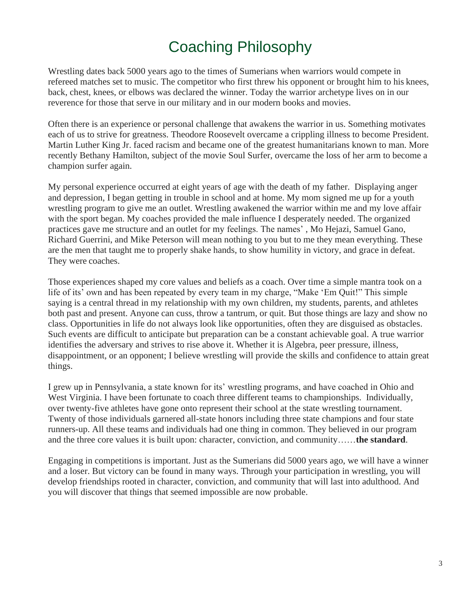# Coaching Philosophy

<span id="page-2-0"></span>Wrestling dates back 5000 years ago to the times of Sumerians when warriors would compete in refereed matches set to music. The competitor who first threw his opponent or brought him to his knees, back, chest, knees, or elbows was declared the winner. Today the warrior archetype lives on in our reverence for those that serve in our military and in our modern books and movies.

Often there is an experience or personal challenge that awakens the warrior in us. Something motivates each of us to strive for greatness. Theodore Roosevelt overcame a crippling illness to become President. Martin Luther King Jr. faced racism and became one of the greatest humanitarians known to man. More recently Bethany Hamilton, subject of the movie Soul Surfer, overcame the loss of her arm to become a champion surfer again.

My personal experience occurred at eight years of age with the death of my father. Displaying anger and depression, I began getting in trouble in school and at home. My mom signed me up for a youth wrestling program to give me an outlet. Wrestling awakened the warrior within me and my love affair with the sport began. My coaches provided the male influence I desperately needed. The organized practices gave me structure and an outlet for my feelings. The names' , Mo Hejazi, Samuel Gano, Richard Guerrini, and Mike Peterson will mean nothing to you but to me they mean everything. These are the men that taught me to properly shake hands, to show humility in victory, and grace in defeat. They were coaches.

Those experiences shaped my core values and beliefs as a coach. Over time a simple mantra took on a life of its' own and has been repeated by every team in my charge, "Make 'Em Quit!" This simple saying is a central thread in my relationship with my own children, my students, parents, and athletes both past and present. Anyone can cuss, throw a tantrum, or quit. But those things are lazy and show no class. Opportunities in life do not always look like opportunities, often they are disguised as obstacles. Such events are difficult to anticipate but preparation can be a constant achievable goal. A true warrior identifies the adversary and strives to rise above it. Whether it is Algebra, peer pressure, illness, disappointment, or an opponent; I believe wrestling will provide the skills and confidence to attain great things.

I grew up in Pennsylvania, a state known for its' wrestling programs, and have coached in Ohio and West Virginia. I have been fortunate to coach three different teams to championships. Individually, over twenty-five athletes have gone onto represent their school at the state wrestling tournament. Twenty of those individuals garnered all-state honors including three state champions and four state runners-up. All these teams and individuals had one thing in common. They believed in our program and the three core values it is built upon: character, conviction, and community……**the standard**.

Engaging in competitions is important. Just as the Sumerians did 5000 years ago, we will have a winner and a loser. But victory can be found in many ways. Through your participation in wrestling, you will develop friendships rooted in character, conviction, and community that will last into adulthood. And you will discover that things that seemed impossible are now probable.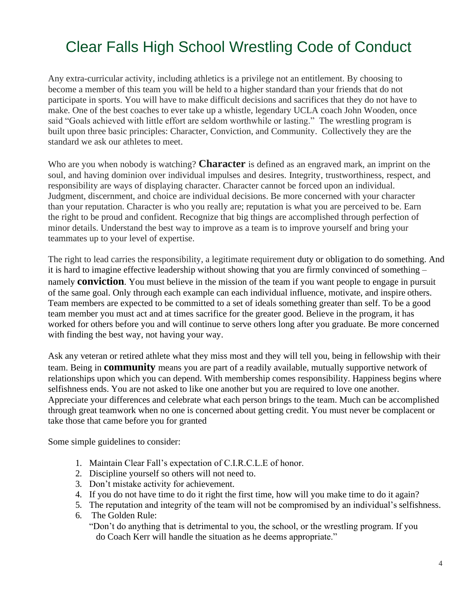# Clear Falls High School Wrestling Code of Conduct

Any extra-curricular activity, including athletics is a privilege not an entitlement. By choosing to become a member of this team you will be held to a higher standard than your friends that do not participate in sports. You will have to make difficult decisions and sacrifices that they do not have to make. One of the best coaches to ever take up a whistle, legendary UCLA coach John Wooden, once said "Goals achieved with little effort are seldom worthwhile or lasting." The wrestling program is built upon three basic principles: Character, Conviction, and Community. Collectively they are the standard we ask our athletes to meet.

Who are you when nobody is watching? **Character** is defined as an engraved mark, an imprint on the soul, and having dominion over individual impulses and desires. Integrity, trustworthiness, respect, and responsibility are ways of displaying character. Character cannot be forced upon an individual. Judgment, discernment, and choice are individual decisions. Be more concerned with your character than your reputation. Character is who you really are; reputation is what you are perceived to be. Earn the right to be proud and confident. Recognize that big things are accomplished through perfection of minor details. Understand the best way to improve as a team is to improve yourself and bring your teammates up to your level of expertise.

The right to lead carries the responsibility, a legitimate requirement duty or obligation to do something. And it is hard to imagine effective leadership without showing that you are firmly convinced of something – namely **conviction**. You must believe in the mission of the team if you want people to engage in pursuit of the same goal. Only through each example can each individual influence, motivate, and inspire others. Team members are expected to be committed to a set of ideals something greater than self. To be a good team member you must act and at times sacrifice for the greater good. Believe in the program, it has worked for others before you and will continue to serve others long after you graduate. Be more concerned with finding the best way, not having your way.

Ask any veteran or retired athlete what they miss most and they will tell you, being in fellowship with their team. Being in **community** means you are part of a readily available, mutually supportive network of relationships upon which you can depend. With membership comes responsibility. Happiness begins where selfishness ends. You are not asked to like one another but you are required to love one another. Appreciate your differences and celebrate what each person brings to the team. Much can be accomplished through great teamwork when no one is concerned about getting credit. You must never be complacent or take those that came before you for granted

Some simple guidelines to consider:

- 1. Maintain Clear Fall's expectation of C.I.R.C.L.E of honor.
- 2. Discipline yourself so others will not need to.
- 3. Don't mistake activity for achievement.
- 4. If you do not have time to do it right the first time, how will you make time to do it again?
- 5. The reputation and integrity of the team will not be compromised by an individual's selfishness.
- 6. The Golden Rule: "Don't do anything that is detrimental to you, the school, or the wrestling program. If you do Coach Kerr will handle the situation as he deems appropriate."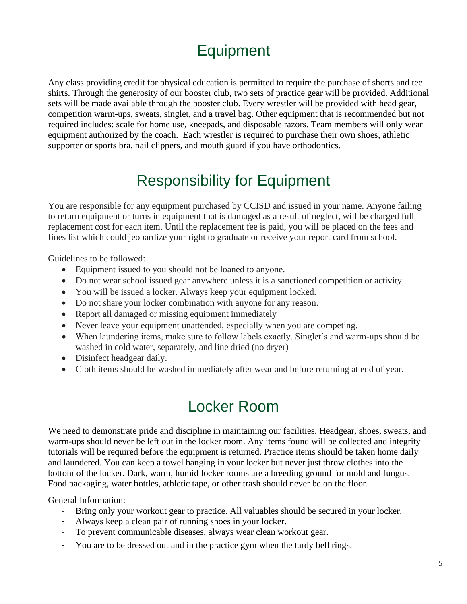# **Equipment**

Any class providing credit for physical education is permitted to require the purchase of shorts and tee shirts. Through the generosity of our booster club, two sets of practice gear will be provided. Additional sets will be made available through the booster club. Every wrestler will be provided with head gear, competition warm-ups, sweats, singlet, and a travel bag. Other equipment that is recommended but not required includes: scale for home use, kneepads, and disposable razors. Team members will only wear equipment authorized by the coach. Each wrestler is required to purchase their own shoes, athletic supporter or sports bra, nail clippers, and mouth guard if you have orthodontics.

### Responsibility for Equipment

You are responsible for any equipment purchased by CCISD and issued in your name. Anyone failing to return equipment or turns in equipment that is damaged as a result of neglect, will be charged full replacement cost for each item. Until the replacement fee is paid, you will be placed on the fees and fines list which could jeopardize your right to graduate or receive your report card from school.

Guidelines to be followed:

- Equipment issued to you should not be loaned to anyone.
- Do not wear school issued gear anywhere unless it is a sanctioned competition or activity.
- You will be issued a locker. Always keep your equipment locked.
- Do not share your locker combination with anyone for any reason.
- Report all damaged or missing equipment immediately
- Never leave your equipment unattended, especially when you are competing.
- When laundering items, make sure to follow labels exactly. Singlet's and warm-ups should be washed in cold water, separately, and line dried (no dryer)
- Disinfect headgear daily.
- Cloth items should be washed immediately after wear and before returning at end of year.

### Locker Room

We need to demonstrate pride and discipline in maintaining our facilities. Headgear, shoes, sweats, and warm-ups should never be left out in the locker room. Any items found will be collected and integrity tutorials will be required before the equipment is returned. Practice items should be taken home daily and laundered. You can keep a towel hanging in your locker but never just throw clothes into the bottom of the locker. Dark, warm, humid locker rooms are a breeding ground for mold and fungus. Food packaging, water bottles, athletic tape, or other trash should never be on the floor.

General Information:

- Bring only your workout gear to practice. All valuables should be secured in your locker.
- Always keep a clean pair of running shoes in your locker.
- To prevent communicable diseases, always wear clean workout gear.
- You are to be dressed out and in the practice gym when the tardy bell rings.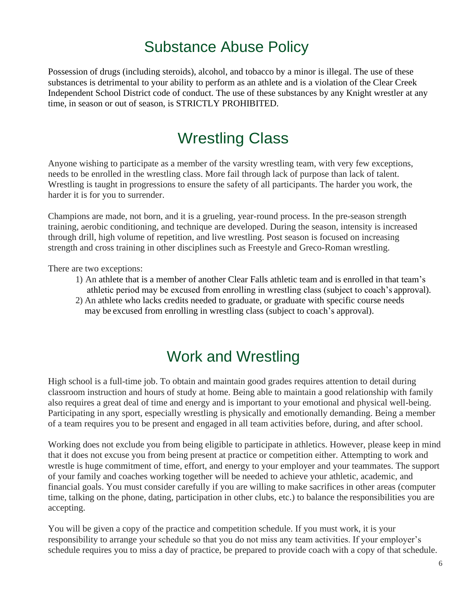### Substance Abuse Policy

Possession of drugs (including steroids), alcohol, and tobacco by a minor is illegal. The use of these substances is detrimental to your ability to perform as an athlete and is a violation of the Clear Creek Independent School District code of conduct. The use of these substances by any Knight wrestler at any time, in season or out of season, is STRICTLY PROHIBITED.

### Wrestling Class

Anyone wishing to participate as a member of the varsity wrestling team, with very few exceptions, needs to be enrolled in the wrestling class. More fail through lack of purpose than lack of talent. Wrestling is taught in progressions to ensure the safety of all participants. The harder you work, the harder it is for you to surrender.

Champions are made, not born, and it is a grueling, year-round process. In the pre-season strength training, aerobic conditioning, and technique are developed. During the season, intensity is increased through drill, high volume of repetition, and live wrestling. Post season is focused on increasing strength and cross training in other disciplines such as Freestyle and Greco-Roman wrestling.

There are two exceptions:

- 1) An athlete that is a member of another Clear Falls athletic team and is enrolled in that team's athletic period may be excused from enrolling in wrestling class (subject to coach's approval).
- 2) An athlete who lacks credits needed to graduate, or graduate with specific course needs may be excused from enrolling in wrestling class (subject to coach's approval).

### Work and Wrestling

High school is a full-time job. To obtain and maintain good grades requires attention to detail during classroom instruction and hours of study at home. Being able to maintain a good relationship with family also requires a great deal of time and energy and is important to your emotional and physical well-being. Participating in any sport, especially wrestling is physically and emotionally demanding. Being a member of a team requires you to be present and engaged in all team activities before, during, and after school.

Working does not exclude you from being eligible to participate in athletics. However, please keep in mind that it does not excuse you from being present at practice or competition either. Attempting to work and wrestle is huge commitment of time, effort, and energy to your employer and your teammates. The support of your family and coaches working together will be needed to achieve your athletic, academic, and financial goals. You must consider carefully if you are willing to make sacrifices in other areas (computer time, talking on the phone, dating, participation in other clubs, etc.) to balance the responsibilities you are accepting.

You will be given a copy of the practice and competition schedule. If you must work, it is your responsibility to arrange your schedule so that you do not miss any team activities. If your employer's schedule requires you to miss a day of practice, be prepared to provide coach with a copy of that schedule.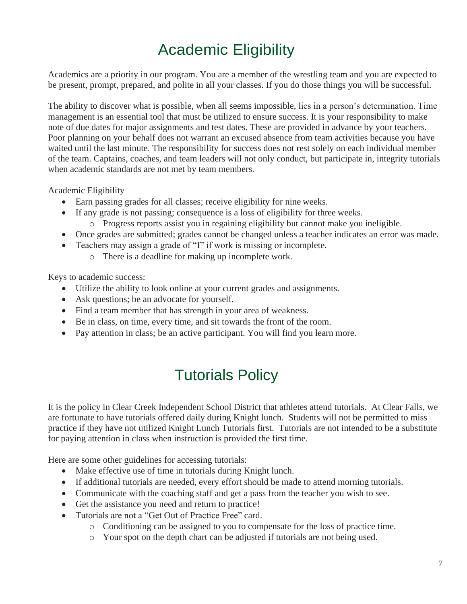# Academic Eligibility

Academics are a priority in our program. You are a member of the wrestling team and you are expected to be present, prompt, prepared, and polite in all your classes. If you do those things you will be successful.

The ability to discover what is possible, when all seems impossible, lies in a person's determination. Time management is an essential tool that must be utilized to ensure success. It is your responsibility to make note of due dates for major assignments and test dates. These are provided in advance by your teachers. Poor planning on your behalf does not warrant an excused absence from team activities because you have waited until the last minute. The responsibility for success does not rest solely on each individual member of the team. Captains, coaches, and team leaders will not only conduct, but participate in, integrity tutorials when academic standards are not met by team members.

Academic Eligibility

- Earn passing grades for all classes; receive eligibility for nine weeks.
- If any grade is not passing; consequence is a loss of eligibility for three weeks.
	- o Progress reports assist you in regaining eligibility but cannot make you ineligible.
- Once grades are submitted; grades cannot be changed unless a teacher indicates an error was made.
- Teachers may assign a grade of "I" if work is missing or incomplete.
	- o There is a deadline for making up incomplete work.

Keys to academic success:

- Utilize the ability to look online at your current grades and assignments.
- Ask questions; be an advocate for yourself.
- Find a team member that has strength in your area of weakness.
- Be in class, on time, every time, and sit towards the front of the room.
- Pay attention in class; be an active participant. You will find you learn more.

### Tutorials Policy

It is the policy in Clear Creek Independent School District that athletes attend tutorials. At Clear Falls, we are fortunate to have tutorials offered daily during Knight lunch. Students will not be permitted to miss practice if they have not utilized Knight Lunch Tutorials first. Tutorials are not intended to be a substitute for paying attention in class when instruction is provided the first time.

Here are some other guidelines for accessing tutorials:

- Make effective use of time in tutorials during Knight lunch.
- If additional tutorials are needed, every effort should be made to attend morning tutorials.
- Communicate with the coaching staff and get a pass from the teacher you wish to see.
- Get the assistance you need and return to practice!
- Tutorials are not a "Get Out of Practice Free" card.
	- o Conditioning can be assigned to you to compensate for the loss of practice time.
	- o Your spot on the depth chart can be adjusted if tutorials are not being used.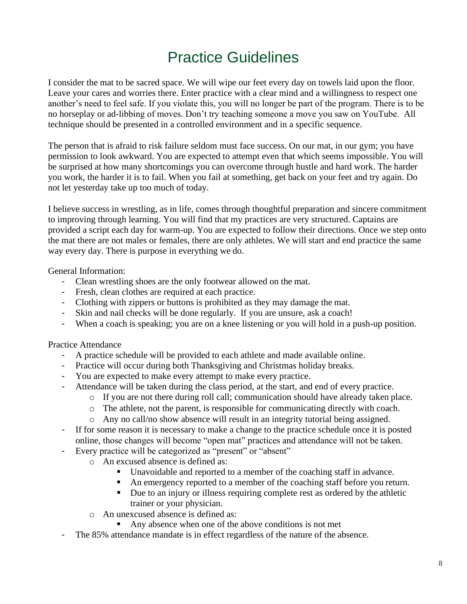### Practice Guidelines

<span id="page-7-0"></span>I consider the mat to be sacred space. We will wipe our feet every day on towels laid upon the floor. Leave your cares and worries there. Enter practice with a clear mind and a willingness to respect one another's need to feel safe. If you violate this, you will no longer be part of the program. There is to be no horseplay or ad-libbing of moves. Don't try teaching someone a move you saw on YouTube. All technique should be presented in a controlled environment and in a specific sequence.

The person that is afraid to risk failure seldom must face success. On our mat, in our gym; you have permission to look awkward. You are expected to attempt even that which seems impossible. You will be surprised at how many shortcomings you can overcome through hustle and hard work. The harder you work, the harder it is to fail. When you fail at something, get back on your feet and try again. Do not let yesterday take up too much of today.

I believe success in wrestling, as in life, comes through thoughtful preparation and sincere commitment to improving through learning. You will find that my practices are very structured. Captains are provided a script each day for warm-up. You are expected to follow their directions. Once we step onto the mat there are not males or females, there are only athletes. We will start and end practice the same way every day. There is purpose in everything we do.

General Information:

- Clean wrestling shoes are the only footwear allowed on the mat.
- Fresh, clean clothes are required at each practice.
- Clothing with zippers or buttons is prohibited as they may damage the mat.
- Skin and nail checks will be done regularly. If you are unsure, ask a coach!
- When a coach is speaking; you are on a knee listening or you will hold in a push-up position.

Practice Attendance

- A practice schedule will be provided to each athlete and made available online.
- Practice will occur during both Thanksgiving and Christmas holiday breaks.
- You are expected to make every attempt to make every practice.
- Attendance will be taken during the class period, at the start, and end of every practice.
	- o If you are not there during roll call; communication should have already taken place.
		- o The athlete, not the parent, is responsible for communicating directly with coach.
	- o Any no call/no show absence will result in an integrity tutorial being assigned.
- If for some reason it is necessary to make a change to the practice schedule once it is posted online, those changes will become "open mat" practices and attendance will not be taken.
	- Every practice will be categorized as "present" or "absent"
		- o An excused absence is defined as:
			- Unavoidable and reported to a member of the coaching staff in advance.
			- An emergency reported to a member of the coaching staff before you return.
			- Due to an injury or illness requiring complete rest as ordered by the athletic trainer or your physician.
		- o An unexcused absence is defined as:
			- Any absence when one of the above conditions is not met
- The 85% attendance mandate is in effect regardless of the nature of the absence.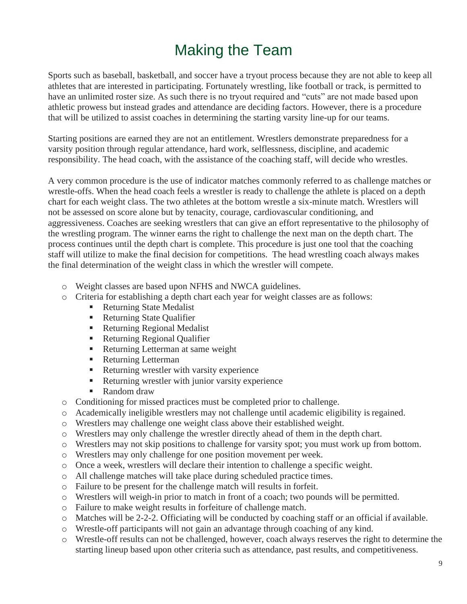# Making the Team

Sports such as baseball, basketball, and soccer have a tryout process because they are not able to keep all athletes that are interested in participating. Fortunately wrestling, like football or track, is permitted to have an unlimited roster size. As such there is no tryout required and "cuts" are not made based upon athletic prowess but instead grades and attendance are deciding factors. However, there is a procedure that will be utilized to assist coaches in determining the starting varsity line-up for our teams.

Starting positions are earned they are not an entitlement. Wrestlers demonstrate preparedness for a varsity position through regular attendance, hard work, selflessness, discipline, and academic responsibility. The head coach, with the assistance of the coaching staff, will decide who wrestles.

A very common procedure is the use of indicator matches commonly referred to as challenge matches or wrestle-offs. When the head coach feels a wrestler is ready to challenge the athlete is placed on a depth chart for each weight class. The two athletes at the bottom wrestle a six-minute match. Wrestlers will not be assessed on score alone but by tenacity, courage, cardiovascular conditioning, and aggressiveness. Coaches are seeking wrestlers that can give an effort representative to the philosophy of the wrestling program. The winner earns the right to challenge the next man on the depth chart. The process continues until the depth chart is complete. This procedure is just one tool that the coaching staff will utilize to make the final decision for competitions. The head wrestling coach always makes the final determination of the weight class in which the wrestler will compete.

- o Weight classes are based upon NFHS and NWCA guidelines.
- o Criteria for establishing a depth chart each year for weight classes are as follows:
	- Returning State Medalist
	- Returning State Qualifier
	- Returning Regional Medalist
	- **Returning Regional Qualifier**
	- Returning Letterman at same weight
	- Returning Letterman
	- Returning wrestler with varsity experience
	- Returning wrestler with junior varsity experience
	- Random draw
- o Conditioning for missed practices must be completed prior to challenge.
- o Academically ineligible wrestlers may not challenge until academic eligibility is regained.
- o Wrestlers may challenge one weight class above their established weight.
- o Wrestlers may only challenge the wrestler directly ahead of them in the depth chart.
- o Wrestlers may not skip positions to challenge for varsity spot; you must work up from bottom.
- o Wrestlers may only challenge for one position movement per week.
- o Once a week, wrestlers will declare their intention to challenge a specific weight.
- o All challenge matches will take place during scheduled practice times.
- o Failure to be present for the challenge match will results in forfeit.
- o Wrestlers will weigh-in prior to match in front of a coach; two pounds will be permitted.
- o Failure to make weight results in forfeiture of challenge match.
- o Matches will be 2-2-2. Officiating will be conducted by coaching staff or an official if available.
- o Wrestle-off participants will not gain an advantage through coaching of any kind.
- o Wrestle-off results can not be challenged, however, coach always reserves the right to determine the starting lineup based upon other criteria such as attendance, past results, and competitiveness.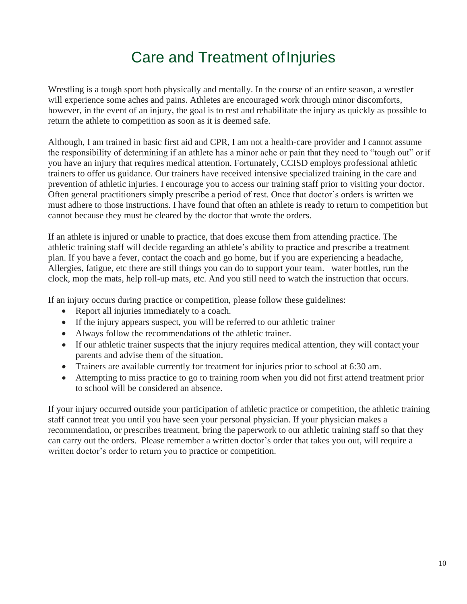### Care and Treatment of Injuries

<span id="page-9-0"></span>Wrestling is a tough sport both physically and mentally. In the course of an entire season, a wrestler will experience some aches and pains. Athletes are encouraged work through minor discomforts, however, in the event of an injury, the goal is to rest and rehabilitate the injury as quickly as possible to return the athlete to competition as soon as it is deemed safe.

Although, I am trained in basic first aid and CPR, I am not a health-care provider and I cannot assume the responsibility of determining if an athlete has a minor ache or pain that they need to "tough out" or if you have an injury that requires medical attention. Fortunately, CCISD employs professional athletic trainers to offer us guidance. Our trainers have received intensive specialized training in the care and prevention of athletic injuries. I encourage you to access our training staff prior to visiting your doctor. Often general practitioners simply prescribe a period of rest. Once that doctor's orders is written we must adhere to those instructions. I have found that often an athlete is ready to return to competition but cannot because they must be cleared by the doctor that wrote the orders.

If an athlete is injured or unable to practice, that does excuse them from attending practice. The athletic training staff will decide regarding an athlete's ability to practice and prescribe a treatment plan. If you have a fever, contact the coach and go home, but if you are experiencing a headache, Allergies, fatigue, etc there are still things you can do to support your team. water bottles, run the clock, mop the mats, help roll-up mats, etc. And you still need to watch the instruction that occurs.

If an injury occurs during practice or competition, please follow these guidelines:

- Report all injuries immediately to a coach.
- If the injury appears suspect, you will be referred to our athletic trainer
- Always follow the recommendations of the athletic trainer.
- If our athletic trainer suspects that the injury requires medical attention, they will contact your parents and advise them of the situation.
- Trainers are available currently for treatment for injuries prior to school at 6:30 am.
- Attempting to miss practice to go to training room when you did not first attend treatment prior to school will be considered an absence.

If your injury occurred outside your participation of athletic practice or competition, the athletic training staff cannot treat you until you have seen your personal physician. If your physician makes a recommendation, or prescribes treatment, bring the paperwork to our athletic training staff so that they can carry out the orders. Please remember a written doctor's order that takes you out, will require a written doctor's order to return you to practice or competition.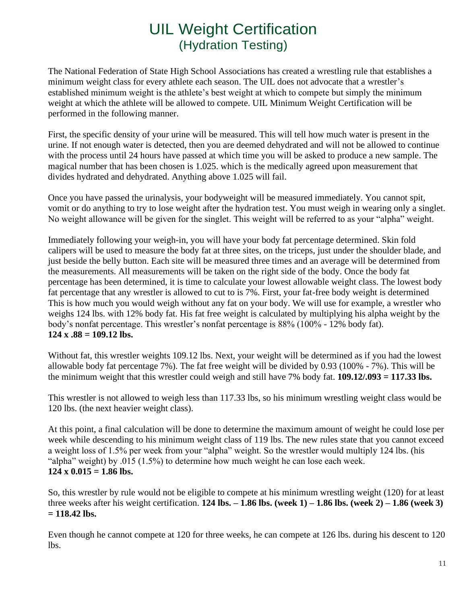### UIL Weight Certification (Hydration Testing)

<span id="page-10-0"></span>The National Federation of State High School Associations has created a wrestling rule that establishes a minimum weight class for every athlete each season. The UIL does not advocate that a wrestler's established minimum weight is the athlete's best weight at which to compete but simply the minimum weight at which the athlete will be allowed to compete. UIL Minimum Weight Certification will be performed in the following manner.

First, the specific density of your urine will be measured. This will tell how much water is present in the urine. If not enough water is detected, then you are deemed dehydrated and will not be allowed to continue with the process until 24 hours have passed at which time you will be asked to produce a new sample. The magical number that has been chosen is 1.025. which is the medically agreed upon measurement that divides hydrated and dehydrated. Anything above 1.025 will fail.

Once you have passed the urinalysis, your bodyweight will be measured immediately. You cannot spit, vomit or do anything to try to lose weight after the hydration test. You must weigh in wearing only a singlet. No weight allowance will be given for the singlet. This weight will be referred to as your "alpha" weight.

Immediately following your weigh-in, you will have your body fat percentage determined. Skin fold calipers will be used to measure the body fat at three sites, on the triceps, just under the shoulder blade, and just beside the belly button. Each site will be measured three times and an average will be determined from the measurements. All measurements will be taken on the right side of the body. Once the body fat percentage has been determined, it is time to calculate your lowest allowable weight class. The lowest body fat percentage that any wrestler is allowed to cut to is 7%. First, your fat-free body weight is determined This is how much you would weigh without any fat on your body. We will use for example, a wrestler who weighs 124 lbs. with 12% body fat. His fat free weight is calculated by multiplying his alpha weight by the body's nonfat percentage. This wrestler's nonfat percentage is 88% (100% - 12% body fat). **124 x .88 = 109.12 lbs.**

Without fat, this wrestler weights 109.12 lbs. Next, your weight will be determined as if you had the lowest allowable body fat percentage 7%). The fat free weight will be divided by 0.93 (100% - 7%). This will be the minimum weight that this wrestler could weigh and still have 7% body fat. **109.12/.093 = 117.33 lbs.**

This wrestler is not allowed to weigh less than 117.33 lbs, so his minimum wrestling weight class would be 120 lbs. (the next heavier weight class).

At this point, a final calculation will be done to determine the maximum amount of weight he could lose per week while descending to his minimum weight class of 119 lbs. The new rules state that you cannot exceed a weight loss of 1.5% per week from your "alpha" weight. So the wrestler would multiply 124 lbs. (his "alpha" weight) by .015 (1.5%) to determine how much weight he can lose each week.  $124 \times 0.015 = 1.86$  lbs.

So, this wrestler by rule would not be eligible to compete at his minimum wrestling weight (120) for at least three weeks after his weight certification. **124 lbs.**  $-1.86$  lbs. (week 1)  $-1.86$  lbs. (week 2)  $-1.86$  (week 3) **= 118.42 lbs.**

Even though he cannot compete at 120 for three weeks, he can compete at 126 lbs. during his descent to 120 lbs.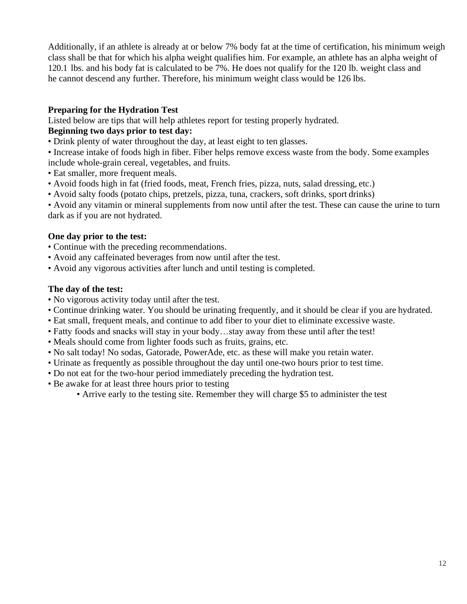Additionally, if an athlete is already at or below 7% body fat at the time of certification, his minimum weigh class shall be that for which his alpha weight qualifies him. For example, an athlete has an alpha weight of 120.1 lbs. and his body fat is calculated to be 7%. He does not qualify for the 120 lb. weight class and he cannot descend any further. Therefore, his minimum weight class would be 126 lbs.

#### **Preparing for the Hydration Test**

Listed below are tips that will help athletes report for testing properly hydrated.

#### **Beginning two days prior to test day:**

- Drink plenty of water throughout the day, at least eight to ten glasses.
- Increase intake of foods high in fiber. Fiber helps remove excess waste from the body. Some examples include whole-grain cereal, vegetables, and fruits.
- Eat smaller, more frequent meals.
- Avoid foods high in fat (fried foods, meat, French fries, pizza, nuts, salad dressing, etc.)
- Avoid salty foods (potato chips, pretzels, pizza, tuna, crackers, soft drinks, sport drinks)

• Avoid any vitamin or mineral supplements from now until after the test. These can cause the urine to turn dark as if you are not hydrated.

#### **One day prior to the test:**

- Continue with the preceding recommendations.
- Avoid any caffeinated beverages from now until after the test.
- Avoid any vigorous activities after lunch and until testing is completed.

#### **The day of the test:**

- No vigorous activity today until after the test.
- Continue drinking water. You should be urinating frequently, and it should be clear if you are hydrated.
- Eat small, frequent meals, and continue to add fiber to your diet to eliminate excessive waste.
- Fatty foods and snacks will stay in your body…stay away from these until after the test!
- Meals should come from lighter foods such as fruits, grains, etc.
- No salt today! No sodas, Gatorade, PowerAde, etc. as these will make you retain water.
- Urinate as frequently as possible throughout the day until one-two hours prior to test time.
- Do not eat for the two-hour period immediately preceding the hydration test.
- Be awake for at least three hours prior to testing
	- Arrive early to the testing site. Remember they will charge \$5 to administer the test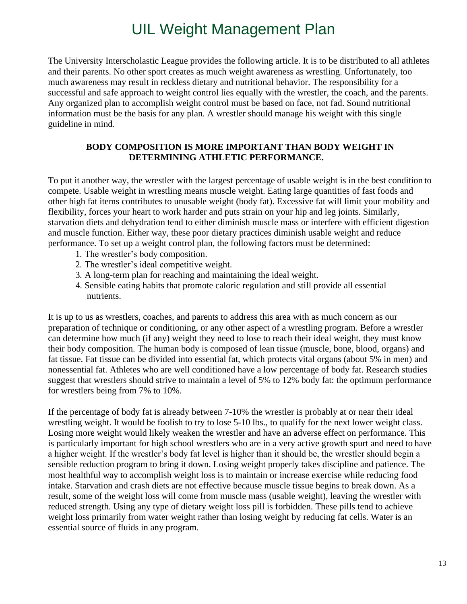### UIL Weight Management Plan

<span id="page-12-0"></span>The University Interscholastic League provides the following article. It is to be distributed to all athletes and their parents. No other sport creates as much weight awareness as wrestling. Unfortunately, too much awareness may result in reckless dietary and nutritional behavior. The responsibility for a successful and safe approach to weight control lies equally with the wrestler, the coach, and the parents. Any organized plan to accomplish weight control must be based on face, not fad. Sound nutritional information must be the basis for any plan. A wrestler should manage his weight with this single guideline in mind.

#### **BODY COMPOSITION IS MORE IMPORTANT THAN BODY WEIGHT IN DETERMINING ATHLETIC PERFORMANCE.**

To put it another way, the wrestler with the largest percentage of usable weight is in the best condition to compete. Usable weight in wrestling means muscle weight. Eating large quantities of fast foods and other high fat items contributes to unusable weight (body fat). Excessive fat will limit your mobility and flexibility, forces your heart to work harder and puts strain on your hip and leg joints. Similarly, starvation diets and dehydration tend to either diminish muscle mass or interfere with efficient digestion and muscle function. Either way, these poor dietary practices diminish usable weight and reduce performance. To set up a weight control plan, the following factors must be determined:

- 1. The wrestler's body composition.
- 2. The wrestler's ideal competitive weight.
- 3. A long-term plan for reaching and maintaining the ideal weight.
- 4. Sensible eating habits that promote caloric regulation and still provide all essential nutrients.

It is up to us as wrestlers, coaches, and parents to address this area with as much concern as our preparation of technique or conditioning, or any other aspect of a wrestling program. Before a wrestler can determine how much (if any) weight they need to lose to reach their ideal weight, they must know their body composition. The human body is composed of lean tissue (muscle, bone, blood, organs) and fat tissue. Fat tissue can be divided into essential fat, which protects vital organs (about 5% in men) and nonessential fat. Athletes who are well conditioned have a low percentage of body fat. Research studies suggest that wrestlers should strive to maintain a level of 5% to 12% body fat: the optimum performance for wrestlers being from 7% to 10%.

If the percentage of body fat is already between 7-10% the wrestler is probably at or near their ideal wrestling weight. It would be foolish to try to lose 5-10 lbs., to qualify for the next lower weight class. Losing more weight would likely weaken the wrestler and have an adverse effect on performance. This is particularly important for high school wrestlers who are in a very active growth spurt and need to have a higher weight. If the wrestler's body fat level is higher than it should be, the wrestler should begin a sensible reduction program to bring it down. Losing weight properly takes discipline and patience. The most healthful way to accomplish weight loss is to maintain or increase exercise while reducing food intake. Starvation and crash diets are not effective because muscle tissue begins to break down. As a result, some of the weight loss will come from muscle mass (usable weight), leaving the wrestler with reduced strength. Using any type of dietary weight loss pill is forbidden. These pills tend to achieve weight loss primarily from water weight rather than losing weight by reducing fat cells. Water is an essential source of fluids in any program.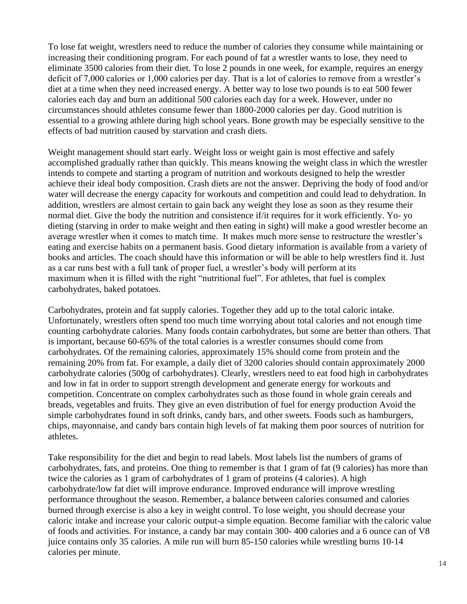To lose fat weight, wrestlers need to reduce the number of calories they consume while maintaining or increasing their conditioning program. For each pound of fat a wrestler wants to lose, they need to eliminate 3500 calories from their diet. To lose 2 pounds in one week, for example, requires an energy deficit of 7,000 calories or 1,000 calories per day. That is a lot of calories to remove from a wrestler's diet at a time when they need increased energy. A better way to lose two pounds is to eat 500 fewer calories each day and burn an additional 500 calories each day for a week. However, under no circumstances should athletes consume fewer than 1800-2000 calories per day. Good nutrition is essential to a growing athlete during high school years. Bone growth may be especially sensitive to the effects of bad nutrition caused by starvation and crash diets.

Weight management should start early. Weight loss or weight gain is most effective and safely accomplished gradually rather than quickly. This means knowing the weight class in which the wrestler intends to compete and starting a program of nutrition and workouts designed to help the wrestler achieve their ideal body composition. Crash diets are not the answer. Depriving the body of food and/or water will decrease the energy capacity for workouts and competition and could lead to dehydration. In addition, wrestlers are almost certain to gain back any weight they lose as soon as they resume their normal diet. Give the body the nutrition and consistence if/it requires for it work efficiently. Yo- yo dieting (starving in order to make weight and then eating in sight) will make a good wrestler become an average wrestler when it comes to match time. It makes much more sense to restructure the wrestler's eating and exercise habits on a permanent basis. Good dietary information is available from a variety of books and articles. The coach should have this information or will be able to help wrestlers find it. Just as a car runs best with a full tank of proper fuel, a wrestler's body will perform at its maximum when it is filled with the right "nutritional fuel". For athletes, that fuel is complex carbohydrates, baked potatoes.

Carbohydrates, protein and fat supply calories. Together they add up to the total caloric intake. Unfortunately, wrestlers often spend too much time worrying about total calories and not enough time counting carbohydrate calories. Many foods contain carbohydrates, but some are better than others. That is important, because 60-65% of the total calories is a wrestler consumes should come from carbohydrates. Of the remaining calories, approximately 15% should come from protein and the remaining 20% from fat. For example, a daily diet of 3200 calories should contain approximately 2000 carbohydrate calories (500g of carbohydrates). Clearly, wrestlers need to eat food high in carbohydrates and low in fat in order to support strength development and generate energy for workouts and competition. Concentrate on complex carbohydrates such as those found in whole grain cereals and breads, vegetables and fruits. They give an even distribution of fuel for energy production Avoid the simple carbohydrates found in soft drinks, candy bars, and other sweets. Foods such as hamburgers, chips, mayonnaise, and candy bars contain high levels of fat making them poor sources of nutrition for athletes.

Take responsibility for the diet and begin to read labels. Most labels list the numbers of grams of carbohydrates, fats, and proteins. One thing to remember is that 1 gram of fat (9 calories) has more than twice the calories as 1 gram of carbohydrates of 1 gram of proteins (4 calories). A high carbohydrate/low fat diet will improve endurance. Improved endurance will improve wrestling performance throughout the season. Remember, a balance between calories consumed and calories burned through exercise is also a key in weight control. To lose weight, you should decrease your caloric intake and increase your caloric output-a simple equation. Become familiar with the caloric value of foods and activities. For instance, a candy bar may contain 300- 400 calories and a 6 ounce can of V8 juice contains only 35 calories. A mile run will burn 85-150 calories while wrestling burns 10-14 calories per minute.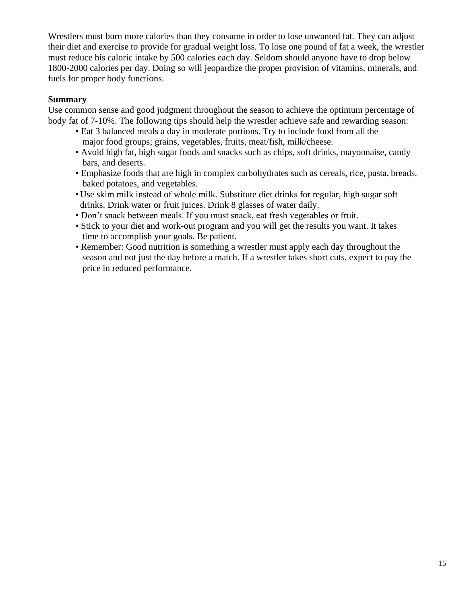Wrestlers must burn more calories than they consume in order to lose unwanted fat. They can adjust their diet and exercise to provide for gradual weight loss. To lose one pound of fat a week, the wrestler must reduce his caloric intake by 500 calories each day. Seldom should anyone have to drop below 1800-2000 calories per day. Doing so will jeopardize the proper provision of vitamins, minerals, and fuels for proper body functions.

#### **Summary**

Use common sense and good judgment throughout the season to achieve the optimum percentage of body fat of 7-10%. The following tips should help the wrestler achieve safe and rewarding season:

- Eat 3 balanced meals a day in moderate portions. Try to include food from all the major food groups; grains, vegetables, fruits, meat/fish, milk/cheese.
- Avoid high fat, high sugar foods and snacks such as chips, soft drinks, mayonnaise, candy bars, and deserts.
- Emphasize foods that are high in complex carbohydrates such as cereals, rice, pasta, breads, baked potatoes, and vegetables.
- Use skim milk instead of whole milk. Substitute diet drinks for regular, high sugar soft drinks. Drink water or fruit juices. Drink 8 glasses of water daily.
- Don't snack between meals. If you must snack, eat fresh vegetables or fruit.
- Stick to your diet and work-out program and you will get the results you want. It takes time to accomplish your goals. Be patient.
- Remember: Good nutrition is something a wrestler must apply each day throughout the season and not just the day before a match. If a wrestler takes short cuts, expect to pay the price in reduced performance.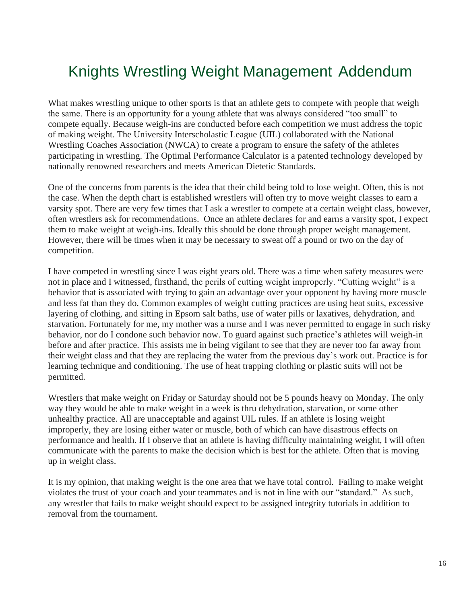# Knights Wrestling Weight Management Addendum

What makes wrestling unique to other sports is that an athlete gets to compete with people that weigh the same. There is an opportunity for a young athlete that was always considered "too small" to compete equally. Because weigh-ins are conducted before each competition we must address the topic of making weight. The University Interscholastic League (UIL) collaborated with the National Wrestling Coaches Association (NWCA) to create a program to ensure the safety of the athletes participating in wrestling. The Optimal Performance Calculator is a patented technology developed by nationally renowned researchers and meets American Dietetic Standards.

One of the concerns from parents is the idea that their child being told to lose weight. Often, this is not the case. When the depth chart is established wrestlers will often try to move weight classes to earn a varsity spot. There are very few times that I ask a wrestler to compete at a certain weight class, however, often wrestlers ask for recommendations. Once an athlete declares for and earns a varsity spot, I expect them to make weight at weigh-ins. Ideally this should be done through proper weight management. However, there will be times when it may be necessary to sweat off a pound or two on the day of competition.

I have competed in wrestling since I was eight years old. There was a time when safety measures were not in place and I witnessed, firsthand, the perils of cutting weight improperly. "Cutting weight" is a behavior that is associated with trying to gain an advantage over your opponent by having more muscle and less fat than they do. Common examples of weight cutting practices are using heat suits, excessive layering of clothing, and sitting in Epsom salt baths, use of water pills or laxatives, dehydration, and starvation. Fortunately for me, my mother was a nurse and I was never permitted to engage in such risky behavior, nor do I condone such behavior now. To guard against such practice's athletes will weigh-in before and after practice. This assists me in being vigilant to see that they are never too far away from their weight class and that they are replacing the water from the previous day's work out. Practice is for learning technique and conditioning. The use of heat trapping clothing or plastic suits will not be permitted.

Wrestlers that make weight on Friday or Saturday should not be 5 pounds heavy on Monday. The only way they would be able to make weight in a week is thru dehydration, starvation, or some other unhealthy practice. All are unacceptable and against UIL rules. If an athlete is losing weight improperly, they are losing either water or muscle, both of which can have disastrous effects on performance and health. If I observe that an athlete is having difficulty maintaining weight, I will often communicate with the parents to make the decision which is best for the athlete. Often that is moving up in weight class.

It is my opinion, that making weight is the one area that we have total control. Failing to make weight violates the trust of your coach and your teammates and is not in line with our "standard." As such, any wrestler that fails to make weight should expect to be assigned integrity tutorials in addition to removal from the tournament.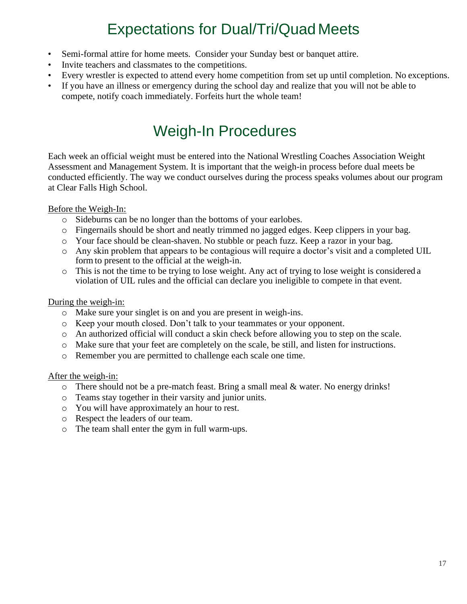# Expectations for Dual/Tri/Quad Meets

- Semi-formal attire for home meets. Consider your Sunday best or banquet attire.
- Invite teachers and classmates to the competitions.
- Every wrestler is expected to attend every home competition from set up until completion. No exceptions.
- If you have an illness or emergency during the school day and realize that you will not be able to compete, notify coach immediately. Forfeits hurt the whole team!

### Weigh-In Procedures

Each week an official weight must be entered into the National Wrestling Coaches Association Weight Assessment and Management System. It is important that the weigh-in process before dual meets be conducted efficiently. The way we conduct ourselves during the process speaks volumes about our program at Clear Falls High School.

#### Before the Weigh-In:

- o Sideburns can be no longer than the bottoms of your earlobes.
- o Fingernails should be short and neatly trimmed no jagged edges. Keep clippers in your bag.
- o Your face should be clean-shaven. No stubble or peach fuzz. Keep a razor in your bag.
- o Any skin problem that appears to be contagious will require a doctor's visit and a completed UIL form to present to the official at the weigh-in.
- o This is not the time to be trying to lose weight. Any act of trying to lose weight is considered a violation of UIL rules and the official can declare you ineligible to compete in that event.

#### During the weigh-in:

- o Make sure your singlet is on and you are present in weigh-ins.
- o Keep your mouth closed. Don't talk to your teammates or your opponent.
- o An authorized official will conduct a skin check before allowing you to step on the scale.
- o Make sure that your feet are completely on the scale, be still, and listen for instructions.
- o Remember you are permitted to challenge each scale one time.

#### After the weigh-in:

- o There should not be a pre-match feast. Bring a small meal & water. No energy drinks!
- o Teams stay together in their varsity and junior units.
- o You will have approximately an hour to rest.
- o Respect the leaders of our team.
- o The team shall enter the gym in full warm-ups.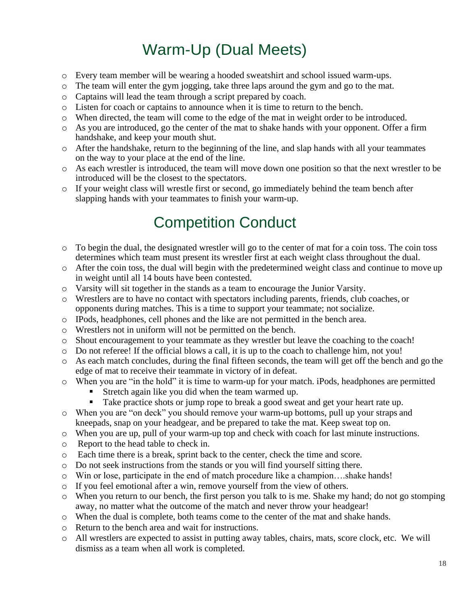# Warm-Up (Dual Meets)

- o Every team member will be wearing a hooded sweatshirt and school issued warm-ups.
- o The team will enter the gym jogging, take three laps around the gym and go to the mat.
- o Captains will lead the team through a script prepared by coach.
- o Listen for coach or captains to announce when it is time to return to the bench.
- o When directed, the team will come to the edge of the mat in weight order to be introduced.
- o As you are introduced, go the center of the mat to shake hands with your opponent. Offer a firm handshake, and keep your mouth shut.
- $\circ$  After the handshake, return to the beginning of the line, and slap hands with all your teammates on the way to your place at the end of the line.
- o As each wrestler is introduced, the team will move down one position so that the next wrestler to be introduced will be the closest to the spectators.
- o If your weight class will wrestle first or second, go immediately behind the team bench after slapping hands with your teammates to finish your warm-up.

### Competition Conduct

- o To begin the dual, the designated wrestler will go to the center of mat for a coin toss. The coin toss determines which team must present its wrestler first at each weight class throughout the dual.
- o After the coin toss, the dual will begin with the predetermined weight class and continue to move up in weight until all 14 bouts have been contested.
- o Varsity will sit together in the stands as a team to encourage the Junior Varsity.
- o Wrestlers are to have no contact with spectators including parents, friends, club coaches, or opponents during matches. This is a time to support your teammate; not socialize.
- o IPods, headphones, cell phones and the like are not permitted in the bench area.
- o Wrestlers not in uniform will not be permitted on the bench.
- o Shout encouragement to your teammate as they wrestler but leave the coaching to the coach!
- $\circ$  Do not referee! If the official blows a call, it is up to the coach to challenge him, not you!
- o As each match concludes, during the final fifteen seconds, the team will get off the bench and go the edge of mat to receive their teammate in victory of in defeat.
- o When you are "in the hold" it is time to warm-up for your match. iPods, headphones are permitted
	- Stretch again like you did when the team warmed up.
	- Take practice shots or jump rope to break a good sweat and get your heart rate up.
- o When you are "on deck" you should remove your warm-up bottoms, pull up your straps and kneepads, snap on your headgear, and be prepared to take the mat. Keep sweat top on.
- o When you are up, pull of your warm-up top and check with coach for last minute instructions.
- o Report to the head table to check in.
- o Each time there is a break, sprint back to the center, check the time and score.
- o Do not seek instructions from the stands or you will find yourself sitting there.
- o Win or lose, participate in the end of match procedure like a champion….shake hands!
- o If you feel emotional after a win, remove yourself from the view of others.
- o When you return to our bench, the first person you talk to is me. Shake my hand; do not go stomping away, no matter what the outcome of the match and never throw your headgear!
- o When the dual is complete, both teams come to the center of the mat and shake hands.
- o Return to the bench area and wait for instructions.
- o All wrestlers are expected to assist in putting away tables, chairs, mats, score clock, etc. We will dismiss as a team when all work is completed.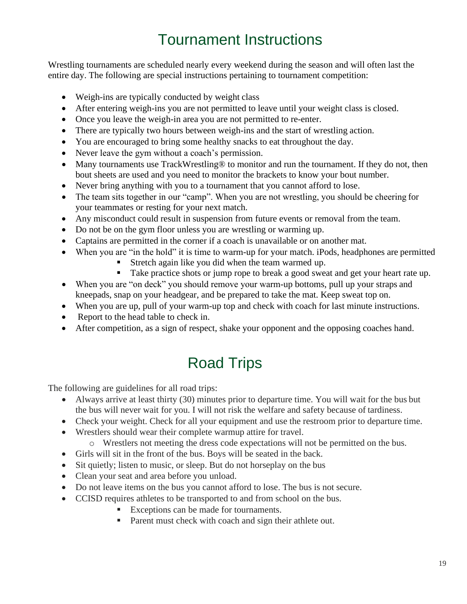# Tournament Instructions

Wrestling tournaments are scheduled nearly every weekend during the season and will often last the entire day. The following are special instructions pertaining to tournament competition:

- Weigh-ins are typically conducted by weight class
- After entering weigh-ins you are not permitted to leave until your weight class is closed.
- Once you leave the weigh-in area you are not permitted to re-enter.
- There are typically two hours between weigh-ins and the start of wrestling action.
- You are encouraged to bring some healthy snacks to eat throughout the day.
- Never leave the gym without a coach's permission.
- Many tournaments use TrackWrestling® to monitor and run the tournament. If they do not, then bout sheets are used and you need to monitor the brackets to know your bout number.
- Never bring anything with you to a tournament that you cannot afford to lose.
- The team sits together in our "camp". When you are not wrestling, you should be cheering for your teammates or resting for your next match.
- Any misconduct could result in suspension from future events or removal from the team.
- Do not be on the gym floor unless you are wrestling or warming up.
- Captains are permitted in the corner if a coach is unavailable or on another mat.
- When you are "in the hold" it is time to warm-up for your match. iPods, headphones are permitted
	- Stretch again like you did when the team warmed up.
	- Take practice shots or jump rope to break a good sweat and get your heart rate up.
- When you are "on deck" you should remove your warm-up bottoms, pull up your straps and kneepads, snap on your headgear, and be prepared to take the mat. Keep sweat top on.
- When you are up, pull of your warm-up top and check with coach for last minute instructions.
- Report to the head table to check in.
- After competition, as a sign of respect, shake your opponent and the opposing coaches hand.

# Road Trips

The following are guidelines for all road trips:

- Always arrive at least thirty (30) minutes prior to departure time. You will wait for the bus but the bus will never wait for you. I will not risk the welfare and safety because of tardiness.
- Check your weight. Check for all your equipment and use the restroom prior to departure time.
- Wrestlers should wear their complete warmup attire for travel.
	- o Wrestlers not meeting the dress code expectations will not be permitted on the bus.
- Girls will sit in the front of the bus. Boys will be seated in the back.
- Sit quietly; listen to music, or sleep. But do not horseplay on the bus
- Clean your seat and area before you unload.
- Do not leave items on the bus you cannot afford to lose. The bus is not secure.
- CCISD requires athletes to be transported to and from school on the bus.
	- Exceptions can be made for tournaments.
	- Parent must check with coach and sign their athlete out.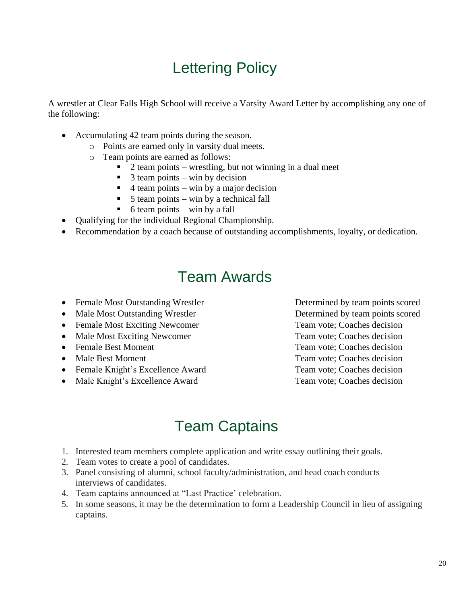# Lettering Policy

A wrestler at Clear Falls High School will receive a Varsity Award Letter by accomplishing any one of the following:

- Accumulating 42 team points during the season.
	- o Points are earned only in varsity dual meets.
	- o Team points are earned as follows:
		- $2$  team points wrestling, but not winning in a dual meet
		- $3$  team points win by decision
		- $\frac{4 \text{ team points} \text{win by a major decision}}{2}$
		- $\blacksquare$  5 team points win by a technical fall
		- $\bullet$  6 team points win by a fall
- Qualifying for the individual Regional Championship.
- Recommendation by a coach because of outstanding accomplishments, loyalty, or dedication.

### Team Awards

- Female Most Outstanding Wrestler Determined by team points scored
- Male Most Outstanding Wrestler Determined by team points scored
- Female Most Exciting Newcomer Team vote: Coaches decision
- Male Most Exciting Newcomer Team vote; Coaches decision
- 
- 
- Female Knight's Excellence Award Team vote; Coaches decision
- Male Knight's Excellence Award Team vote; Coaches decision

• Female Best Moment Team vote; Coaches decision • Male Best Moment Team vote; Coaches decision

### Team Captains

- 1. Interested team members complete application and write essay outlining their goals.
- 2. Team votes to create a pool of candidates.
- 3. Panel consisting of alumni, school faculty/administration, and head coach conducts interviews of candidates.
- 4. Team captains announced at "Last Practice' celebration.
- 5. In some seasons, it may be the determination to form a Leadership Council in lieu of assigning captains.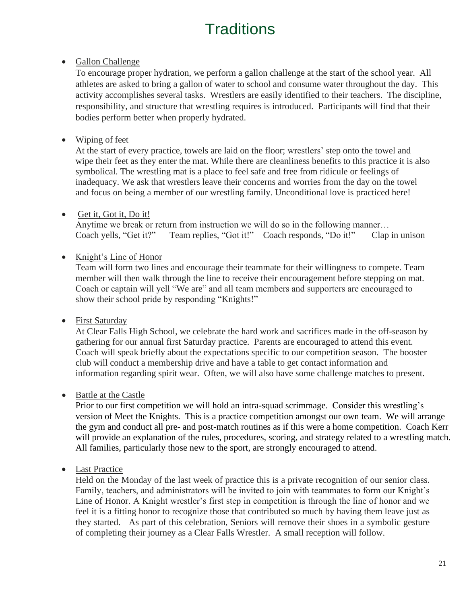# **Traditions**

### • Gallon Challenge

To encourage proper hydration, we perform a gallon challenge at the start of the school year. All athletes are asked to bring a gallon of water to school and consume water throughout the day. This activity accomplishes several tasks. Wrestlers are easily identified to their teachers. The discipline, responsibility, and structure that wrestling requires is introduced. Participants will find that their bodies perform better when properly hydrated.

### • Wiping of feet

At the start of every practice, towels are laid on the floor; wrestlers' step onto the towel and wipe their feet as they enter the mat. While there are cleanliness benefits to this practice it is also symbolical. The wrestling mat is a place to feel safe and free from ridicule or feelings of inadequacy. We ask that wrestlers leave their concerns and worries from the day on the towel and focus on being a member of our wrestling family. Unconditional love is practiced here!

### • Get it, Got it, Do it!

Anytime we break or return from instruction we will do so in the following manner… Coach yells, "Get it?" Team replies, "Got it!" Coach responds, "Do it!" Clap in unison

#### • Knight's Line of Honor

Team will form two lines and encourage their teammate for their willingness to compete. Team member will then walk through the line to receive their encouragement before stepping on mat. Coach or captain will yell "We are" and all team members and supporters are encouraged to show their school pride by responding "Knights!"

### • First Saturday

At Clear Falls High School, we celebrate the hard work and sacrifices made in the off-season by gathering for our annual first Saturday practice. Parents are encouraged to attend this event. Coach will speak briefly about the expectations specific to our competition season. The booster club will conduct a membership drive and have a table to get contact information and information regarding spirit wear. Often, we will also have some challenge matches to present.

### • Battle at the Castle

Prior to our first competition we will hold an intra-squad scrimmage. Consider this wrestling's version of Meet the Knights. This is a practice competition amongst our own team. We will arrange the gym and conduct all pre- and post-match routines as if this were a home competition. Coach Kerr will provide an explanation of the rules, procedures, scoring, and strategy related to a wrestling match. All families, particularly those new to the sport, are strongly encouraged to attend.

### • Last Practice

Held on the Monday of the last week of practice this is a private recognition of our senior class. Family, teachers, and administrators will be invited to join with teammates to form our Knight's Line of Honor. A Knight wrestler's first step in competition is through the line of honor and we feel it is a fitting honor to recognize those that contributed so much by having them leave just as they started. As part of this celebration, Seniors will remove their shoes in a symbolic gesture of completing their journey as a Clear Falls Wrestler. A small reception will follow.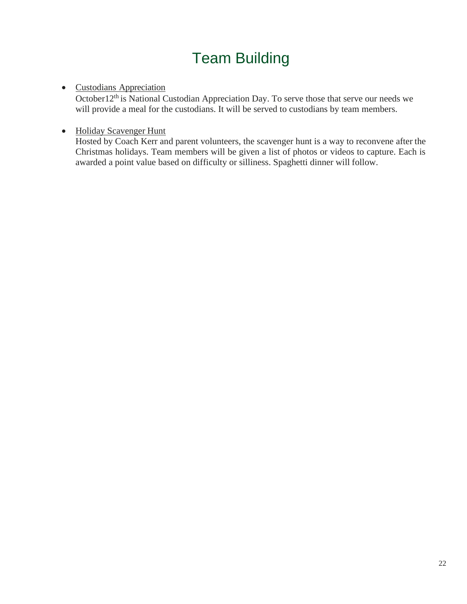# Team Building

#### • Custodians Appreciation

October12<sup>th</sup> is National Custodian Appreciation Day. To serve those that serve our needs we will provide a meal for the custodians. It will be served to custodians by team members.

### • Holiday Scavenger Hunt

Hosted by Coach Kerr and parent volunteers, the scavenger hunt is a way to reconvene after the Christmas holidays. Team members will be given a list of photos or videos to capture. Each is awarded a point value based on difficulty or silliness. Spaghetti dinner will follow.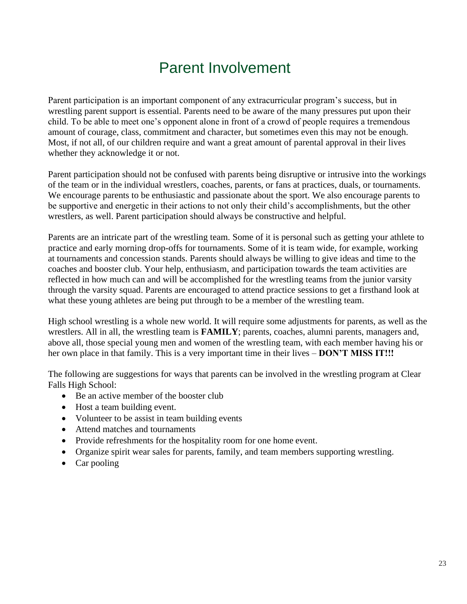### Parent Involvement

<span id="page-22-0"></span>Parent participation is an important component of any extracurricular program's success, but in wrestling parent support is essential. Parents need to be aware of the many pressures put upon their child. To be able to meet one's opponent alone in front of a crowd of people requires a tremendous amount of courage, class, commitment and character, but sometimes even this may not be enough. Most, if not all, of our children require and want a great amount of parental approval in their lives whether they acknowledge it or not.

Parent participation should not be confused with parents being disruptive or intrusive into the workings of the team or in the individual wrestlers, coaches, parents, or fans at practices, duals, or tournaments. We encourage parents to be enthusiastic and passionate about the sport. We also encourage parents to be supportive and energetic in their actions to not only their child's accomplishments, but the other wrestlers, as well. Parent participation should always be constructive and helpful.

Parents are an intricate part of the wrestling team. Some of it is personal such as getting your athlete to practice and early morning drop-offs for tournaments. Some of it is team wide, for example, working at tournaments and concession stands. Parents should always be willing to give ideas and time to the coaches and booster club. Your help, enthusiasm, and participation towards the team activities are reflected in how much can and will be accomplished for the wrestling teams from the junior varsity through the varsity squad. Parents are encouraged to attend practice sessions to get a firsthand look at what these young athletes are being put through to be a member of the wrestling team.

High school wrestling is a whole new world. It will require some adjustments for parents, as well as the wrestlers. All in all, the wrestling team is **FAMILY**; parents, coaches, alumni parents, managers and, above all, those special young men and women of the wrestling team, with each member having his or her own place in that family. This is a very important time in their lives – **DON'T MISS IT!!!**

The following are suggestions for ways that parents can be involved in the wrestling program at Clear Falls High School:

- Be an active member of the booster club
- Host a team building event.
- Volunteer to be assist in team building events
- Attend matches and tournaments
- Provide refreshments for the hospitality room for one home event.
- Organize spirit wear sales for parents, family, and team members supporting wrestling.
- Car pooling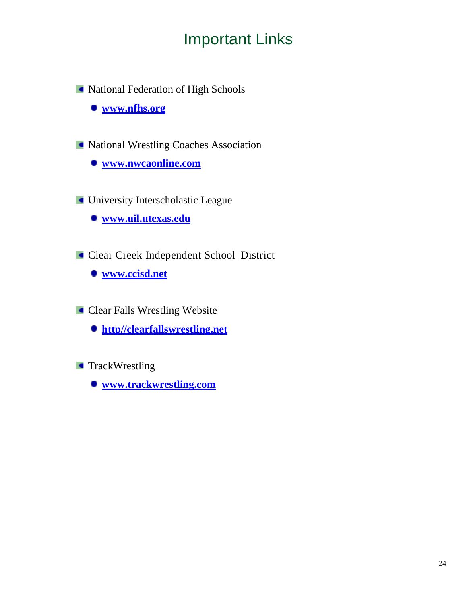# Important Links

National Federation of High Schools

**[www.nfhs.org](http://www.nfhs.org/)**

National Wrestling Coaches Association

**[www.nwcaonline.com](http://www.nwcaonline.com/)**

**University Interscholastic League** 

**[www.uil.utexas.edu](http://www.uil.utexas.edu/)**

Clear Creek Independent School District

**[www.ccisd.net](http://www.ccisd.net/)**

**Clear Falls Wrestling Website** 

**[http//clearfallswrestling.net](http://www.clearfallswrestling.net/)**

**TrackWrestling** 

**[www.trackwrestling.com](http://www.trackwrestling.com/)**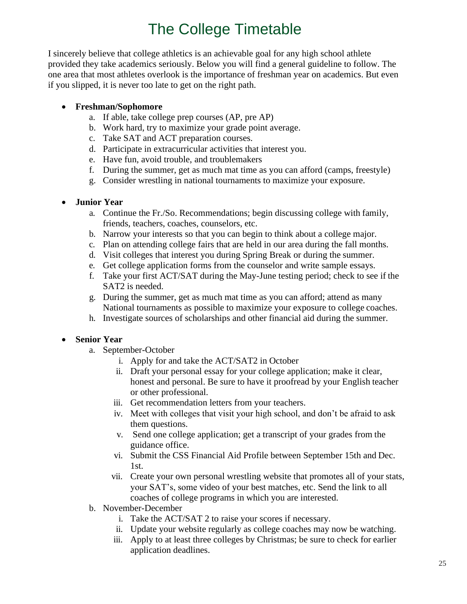# The College Timetable

I sincerely believe that college athletics is an achievable goal for any high school athlete provided they take academics seriously. Below you will find a general guideline to follow. The one area that most athletes overlook is the importance of freshman year on academics. But even if you slipped, it is never too late to get on the right path.

#### • **Freshman/Sophomore**

- a. If able, take college prep courses (AP, pre AP)
- b. Work hard, try to maximize your grade point average.
- c. Take SAT and ACT preparation courses.
- d. Participate in extracurricular activities that interest you.
- e. Have fun, avoid trouble, and troublemakers
- f. During the summer, get as much mat time as you can afford (camps, freestyle)
- g. Consider wrestling in national tournaments to maximize your exposure.

#### • **Junior Year**

- a. Continue the Fr./So. Recommendations; begin discussing college with family, friends, teachers, coaches, counselors, etc.
- b. Narrow your interests so that you can begin to think about a college major.
- c. Plan on attending college fairs that are held in our area during the fall months.
- d. Visit colleges that interest you during Spring Break or during the summer.
- e. Get college application forms from the counselor and write sample essays.
- f. Take your first ACT/SAT during the May-June testing period; check to see if the SAT2 is needed.
- g. During the summer, get as much mat time as you can afford; attend as many National tournaments as possible to maximize your exposure to college coaches.
- h. Investigate sources of scholarships and other financial aid during the summer.

### • **Senior Year**

- a. September-October
	- i. Apply for and take the ACT/SAT2 in October
	- ii. Draft your personal essay for your college application; make it clear, honest and personal. Be sure to have it proofread by your English teacher or other professional.
	- iii. Get recommendation letters from your teachers.
	- iv. Meet with colleges that visit your high school, and don't be afraid to ask them questions.
	- v. Send one college application; get a transcript of your grades from the guidance office.
	- vi. Submit the CSS Financial Aid Profile between September 15th and Dec. 1st.
	- vii. Create your own personal wrestling website that promotes all of your stats, your SAT's, some video of your best matches, etc. Send the link to all coaches of college programs in which you are interested.
- b. November-December
	- i. Take the ACT/SAT 2 to raise your scores if necessary.
	- ii. Update your website regularly as college coaches may now be watching.
	- iii. Apply to at least three colleges by Christmas; be sure to check for earlier application deadlines.